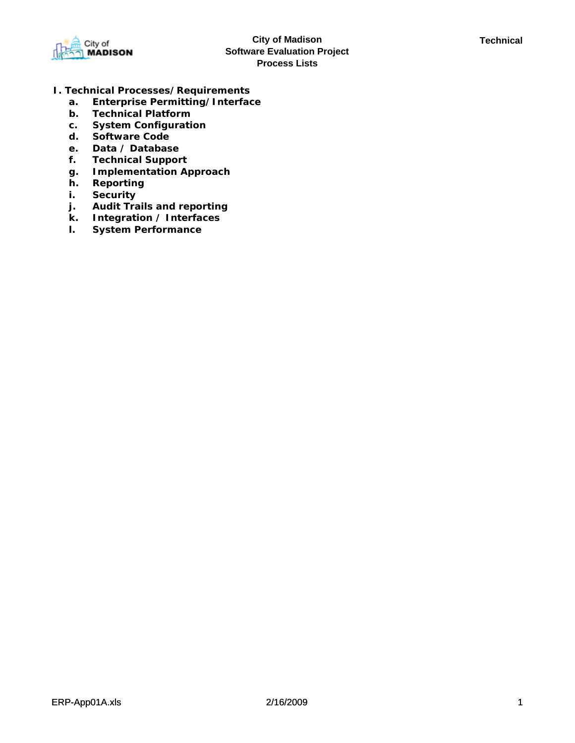

- **I. Technical Processes/Requirements**
	- **a. Enterprise Permitting/Interface**
	- **b. Technical Platform**
	- **c. System Configuration**
	- **d. Software Code**
	- **e. Data / Database**
	- **f. Technical Support**
	- **g. Implementation Approach**
	- **h. Reporting**
	- **i. Security**
	- **j. Audit Trails and reporting**
	- **k. Integration / Interfaces**
	- **l. System Performance**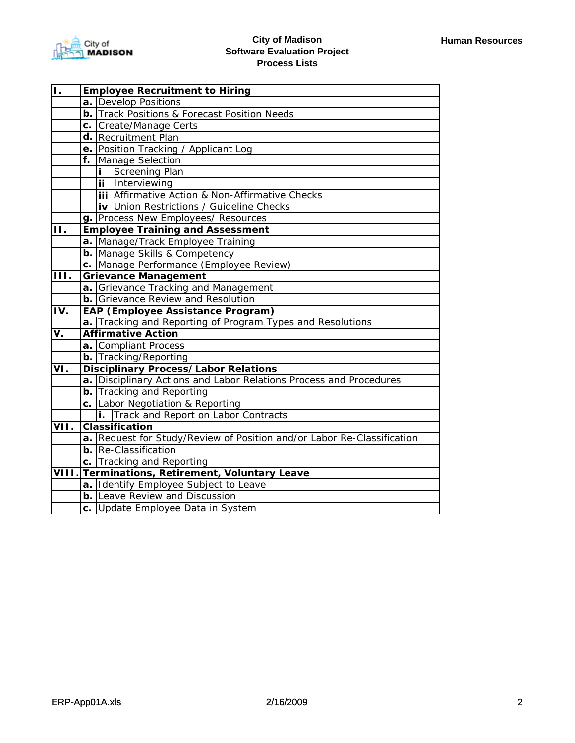| 1.                         |    | <b>Employee Recruitment to Hiring</b>                                  |  |  |
|----------------------------|----|------------------------------------------------------------------------|--|--|
|                            |    | a. Develop Positions                                                   |  |  |
|                            |    | <b>b.</b> Track Positions & Forecast Position Needs                    |  |  |
|                            |    | c. Create/Manage Certs                                                 |  |  |
|                            |    | d. Recruitment Plan                                                    |  |  |
|                            |    | e. Position Tracking / Applicant Log                                   |  |  |
|                            | f. | Manage Selection                                                       |  |  |
|                            |    | <b>Screening Plan</b>                                                  |  |  |
|                            |    | ii Interviewing                                                        |  |  |
|                            |    | <b>iii</b> Affirmative Action & Non-Affirmative Checks                 |  |  |
|                            |    | <b>iv</b> Union Restrictions / Guideline Checks                        |  |  |
|                            |    | g. Process New Employees/ Resources                                    |  |  |
| ĪĪ.                        |    | <b>Employee Training and Assessment</b>                                |  |  |
|                            |    | a. Manage/Track Employee Training                                      |  |  |
|                            |    | <b>b.</b> Manage Skills & Competency                                   |  |  |
|                            |    | c. Manage Performance (Employee Review)                                |  |  |
| ĪП.                        |    | <b>Grievance Management</b>                                            |  |  |
|                            |    | a. Grievance Tracking and Management                                   |  |  |
|                            |    | <b>b.</b> Grievance Review and Resolution                              |  |  |
| ĪV.                        |    | EAP (Employee Assistance Program)                                      |  |  |
|                            |    | a. Tracking and Reporting of Program Types and Resolutions             |  |  |
| V.                         |    | <b>Affirmative Action</b>                                              |  |  |
|                            |    | a. Compliant Process                                                   |  |  |
|                            |    | <b>b.</b> Tracking/Reporting                                           |  |  |
| $\overline{\mathsf{VI}}$ . |    | <b>Disciplinary Process/Labor Relations</b>                            |  |  |
|                            |    | a. Disciplinary Actions and Labor Relations Process and Procedures     |  |  |
|                            |    | <b>b.</b> Tracking and Reporting                                       |  |  |
|                            |    | c. Labor Negotiation & Reporting                                       |  |  |
|                            |    | i. Track and Report on Labor Contracts                                 |  |  |
| VII.                       |    | <b>Classification</b>                                                  |  |  |
|                            |    | a. Request for Study/Review of Position and/or Labor Re-Classification |  |  |
|                            |    | <b>b.</b> Re-Classification                                            |  |  |
|                            |    | c. Tracking and Reporting                                              |  |  |
|                            |    | VIII. Terminations, Retirement, Voluntary Leave                        |  |  |
|                            |    | a. Identify Employee Subject to Leave                                  |  |  |
|                            |    | <b>b.</b> Leave Review and Discussion                                  |  |  |
|                            |    | c. Update Employee Data in System                                      |  |  |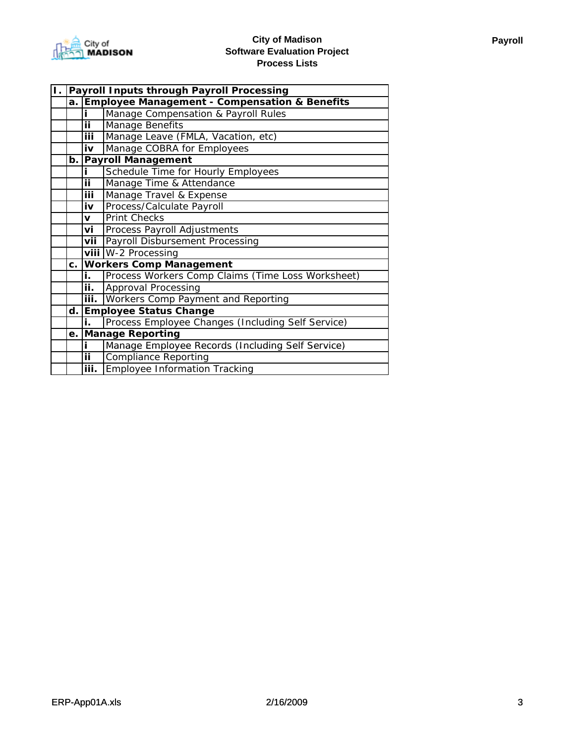

| Τ. | Payroll Inputs through Payroll Processing |                                                          |                                                   |
|----|-------------------------------------------|----------------------------------------------------------|---------------------------------------------------|
|    | a. I                                      | <b>Employee Management - Compensation &amp; Benefits</b> |                                                   |
|    |                                           | ī                                                        | Manage Compensation & Payroll Rules               |
|    |                                           | Ϊİ                                                       | Manage Benefits                                   |
|    |                                           | <b>iii</b>                                               | Manage Leave (FMLA, Vacation, etc)                |
|    |                                           | $\overline{\mathbf{i}\mathbf{v}}$                        | Manage COBRA for Employees                        |
|    |                                           |                                                          | b. Payroll Management                             |
|    |                                           | i.                                                       | Schedule Time for Hourly Employees                |
|    |                                           | ii.                                                      | Manage Time & Attendance                          |
|    |                                           | iii                                                      | Manage Travel & Expense                           |
|    |                                           | iv                                                       | Process/Calculate Payroll                         |
|    |                                           | $\mathbf{V}$                                             | <b>Print Checks</b>                               |
|    |                                           | vi                                                       | Process Payroll Adjustments                       |
|    |                                           | vii                                                      | Payroll Disbursement Processing                   |
|    |                                           |                                                          | viii W-2 Processing                               |
|    |                                           |                                                          | c. Workers Comp Management                        |
|    |                                           | i.                                                       | Process Workers Comp Claims (Time Loss Worksheet) |
|    |                                           | ii.                                                      | Approval Processing                               |
|    |                                           | iii.                                                     | <b>Workers Comp Payment and Reporting</b>         |
|    | d.                                        |                                                          | <b>Employee Status Change</b>                     |
|    |                                           | i.                                                       | Process Employee Changes (Including Self Service) |
|    |                                           |                                                          | e. Manage Reporting                               |
|    |                                           | i.                                                       | Manage Employee Records (Including Self Service)  |
|    |                                           | ii.                                                      | <b>Compliance Reporting</b>                       |
|    |                                           | iii.                                                     | Employee Information Tracking                     |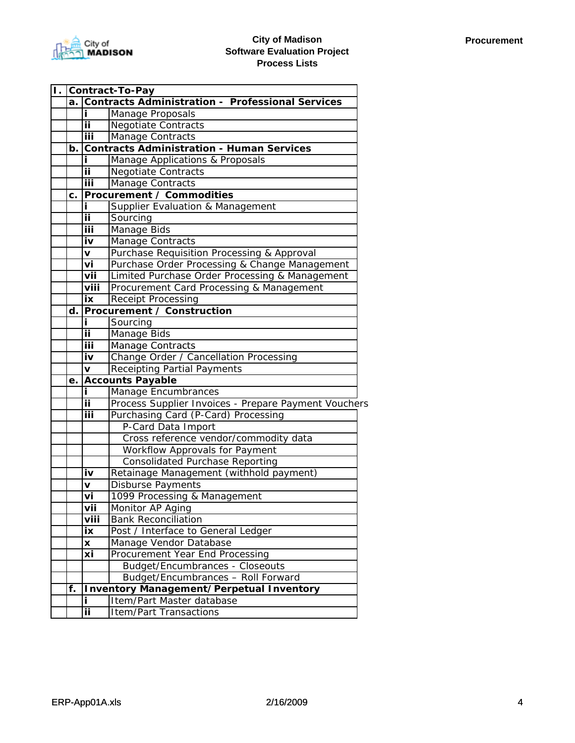

| $\mathbf{L}$ |    | Contract-To-Pay |                                                         |  |
|--------------|----|-----------------|---------------------------------------------------------|--|
|              | a. |                 | <b>Contracts Administration - Professional Services</b> |  |
|              |    | i.              | Manage Proposals                                        |  |
|              |    | ii.             | <b>Negotiate Contracts</b>                              |  |
|              |    | iii             | Manage Contracts                                        |  |
|              | b. |                 | <b>Contracts Administration - Human Services</b>        |  |
|              |    |                 | Manage Applications & Proposals                         |  |
|              |    | ij              | <b>Negotiate Contracts</b>                              |  |
|              |    | iii             | Manage Contracts                                        |  |
|              | C. |                 | <b>Procurement / Commodities</b>                        |  |
|              |    | i.              | Supplier Evaluation & Management                        |  |
|              |    | ii.             | Sourcing                                                |  |
|              |    | iii             | Manage Bids                                             |  |
|              |    | iv              | Manage Contracts                                        |  |
|              |    | v               | Purchase Requisition Processing & Approval              |  |
|              |    | vi              | Purchase Order Processing & Change Management           |  |
|              |    | vii             | Limited Purchase Order Processing & Management          |  |
|              |    | viii            | Procurement Card Processing & Management                |  |
|              |    | iх              | <b>Receipt Processing</b>                               |  |
|              | d. |                 | <b>Procurement / Construction</b>                       |  |
|              |    | i               | Sourcing                                                |  |
|              |    | ij              | Manage Bids                                             |  |
|              |    | iii             | Manage Contracts                                        |  |
|              |    | iv              | Change Order / Cancellation Processing                  |  |
|              |    | V               | <b>Receipting Partial Payments</b>                      |  |
|              | е. |                 | <b>Accounts Payable</b>                                 |  |
|              |    | i.              | Manage Encumbrances                                     |  |
|              |    | ij              | Process Supplier Invoices - Prepare Payment Vouchers    |  |
|              |    | iii             | Purchasing Card (P-Card) Processing                     |  |
|              |    |                 | P-Card Data Import                                      |  |
|              |    |                 | Cross reference vendor/commodity data                   |  |
|              |    |                 | Workflow Approvals for Payment                          |  |
|              |    |                 | <b>Consolidated Purchase Reporting</b>                  |  |
|              |    | iv              | Retainage Management (withhold payment)                 |  |
|              |    | v               | Disburse Payments                                       |  |
|              |    | vi              | 1099 Processing & Management                            |  |
|              |    | vii             | Monitor AP Aging                                        |  |
|              |    | viii            | <b>Bank Reconciliation</b>                              |  |
|              |    | iх              | Post / Interface to General Ledger                      |  |
|              |    | X               | Manage Vendor Database                                  |  |
|              |    | хi              | Procurement Year End Processing                         |  |
|              |    |                 | <b>Budget/Encumbrances - Closeouts</b>                  |  |
|              |    |                 | Budget/Encumbrances - Roll Forward                      |  |
|              | f. |                 | <b>Inventory Management/Perpetual Inventory</b>         |  |
|              |    | i.              | Item/Part Master database                               |  |
|              |    | ii              | <b>Item/Part Transactions</b>                           |  |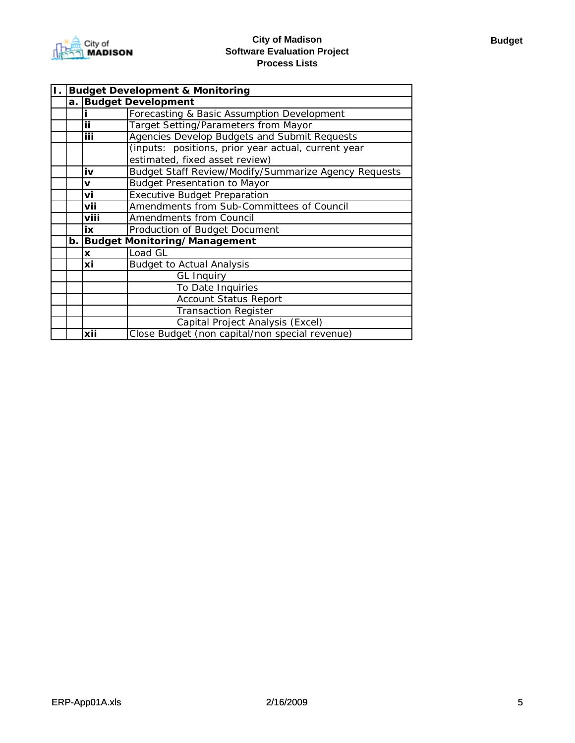

| П. І |    | <b>Budget Development &amp; Monitoring</b> |                                                      |  |
|------|----|--------------------------------------------|------------------------------------------------------|--|
|      | a. |                                            | <b>Budget Development</b>                            |  |
|      |    |                                            | Forecasting & Basic Assumption Development           |  |
|      |    | ij                                         | <b>Target Setting/Parameters from Mayor</b>          |  |
|      |    | iii                                        | Agencies Develop Budgets and Submit Requests         |  |
|      |    |                                            | (inputs: positions, prior year actual, current year  |  |
|      |    |                                            | estimated, fixed asset review)                       |  |
|      |    | iv                                         | Budget Staff Review/Modify/Summarize Agency Requests |  |
|      |    | v                                          | <b>Budget Presentation to Mayor</b>                  |  |
|      |    | vi                                         | <b>Executive Budget Preparation</b>                  |  |
|      |    | vii                                        | Amendments from Sub-Committees of Council            |  |
|      |    | viii                                       | Amendments from Council                              |  |
|      |    | ix                                         | Production of Budget Document                        |  |
|      |    |                                            | b. Budget Monitoring/Management                      |  |
|      |    | X                                          | Load GL                                              |  |
|      |    | хi                                         | <b>Budget to Actual Analysis</b>                     |  |
|      |    |                                            | <b>GL Inquiry</b>                                    |  |
|      |    |                                            | To Date Inquiries                                    |  |
|      |    |                                            | <b>Account Status Report</b>                         |  |
|      |    |                                            | <b>Transaction Register</b>                          |  |
|      |    |                                            | Capital Project Analysis (Excel)                     |  |
|      |    | xii                                        | Close Budget (non capital/non special revenue)       |  |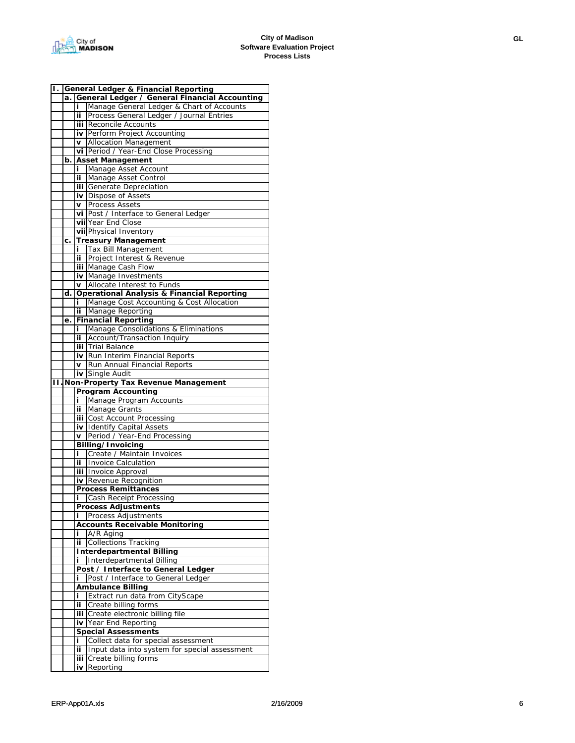|     |    |     | <b>General Ledger &amp; Financial Reporting</b>       |
|-----|----|-----|-------------------------------------------------------|
|     | a. |     | General Ledger / General Financial Accounting         |
|     |    | i   | Manage General Ledger & Chart of Accounts             |
|     |    | ij  | Process General Ledger / Journal Entries              |
|     |    |     | <b>iii</b> Reconcile Accounts                         |
|     |    |     | iv Perform Project Accounting                         |
|     |    | V   | <b>Allocation Management</b>                          |
|     |    |     | vi Period / Year-End Close Processing                 |
|     | b. |     | <b>Asset Management</b>                               |
|     |    | i.  |                                                       |
|     |    |     | Manage Asset Account                                  |
|     |    | ii. | Manage Asset Control                                  |
|     |    |     | iii Generate Depreciation                             |
|     |    |     | <b>iv</b> Dispose of Assets                           |
|     |    | v   | <b>Process Assets</b>                                 |
|     |    |     | vi Post / Interface to General Ledger                 |
|     |    |     | vii Year End Close                                    |
|     |    |     | vii Physical Inventory                                |
|     | c. |     | <b>Treasury Management</b>                            |
|     |    | i.  | <b>Tax Bill Management</b>                            |
|     |    | ii. | Project Interest & Revenue                            |
|     |    |     | iii Manage Cash Flow                                  |
|     |    |     | iv Manage Investments                                 |
|     |    | V   | Allocate Interest to Funds                            |
|     | d. |     | <b>Operational Analysis &amp; Financial Reporting</b> |
|     |    | i.  | Manage Cost Accounting & Cost Allocation              |
|     |    | ij  | Manage Reporting                                      |
|     |    |     |                                                       |
|     | е. |     | <b>Financial Reporting</b>                            |
|     |    | Ĩ.  | Manage Consolidations & Eliminations                  |
|     |    | ij  | Account/Transaction Inquiry                           |
|     |    |     | iii Trial Balance                                     |
|     |    |     | iv Run Interim Financial Reports                      |
|     |    | V   | Run Annual Financial Reports                          |
|     |    |     | iv Single Audit                                       |
| īι. |    |     | Non-Property Tax Revenue Management                   |
|     |    |     | <b>Program Accounting</b>                             |
|     |    | i.  | Manage Program Accounts                               |
|     |    | ij. |                                                       |
|     |    |     | Manage Grants                                         |
|     |    |     | <b>iii</b> Cost Account Processing                    |
|     |    |     |                                                       |
|     |    | V   | iv Identify Capital Assets                            |
|     |    |     | Period / Year-End Processing                          |
|     |    |     | Billing/Invoicing                                     |
|     |    | i   | Create / Maintain Invoices                            |
|     |    | ii. | <b>Invoice Calculation</b>                            |
|     |    |     | iii Invoice Approval                                  |
|     |    |     | <b>iv</b> Revenue Recognition                         |
|     |    |     | <b>Process Remittances</b>                            |
|     |    | Ĩ   | Cash Receipt Processing                               |
|     |    |     | <b>Process Adjustments</b>                            |
|     |    | i   | Process Adjustments                                   |
|     |    |     | <b>Accounts Receivable Monitoring</b>                 |
|     |    | i.  | A/R Aging                                             |
|     |    | ij. | <b>Collections Tracking</b>                           |
|     |    |     | <b>Interdepartmental Billing</b>                      |
|     |    | i.  | Interdepartmental Billing                             |
|     |    |     | Post / Interface to General Ledger                    |
|     |    | i.  | Post / Interface to General Ledger                    |
|     |    |     | <b>Ambulance Billing</b>                              |
|     |    | i   | Extract run data from CityScape                       |
|     |    | ij. | Create billing forms                                  |
|     |    |     | iii Create electronic billing file                    |
|     |    | iv  | Year End Reporting                                    |
|     |    |     | <b>Special Assessments</b>                            |
|     |    | i.  |                                                       |
|     |    | ij. | Collect data for special assessment                   |
|     |    |     | Input data into system for special assessment         |
|     |    |     | iii Create billing forms<br><b>iv</b> Reporting       |